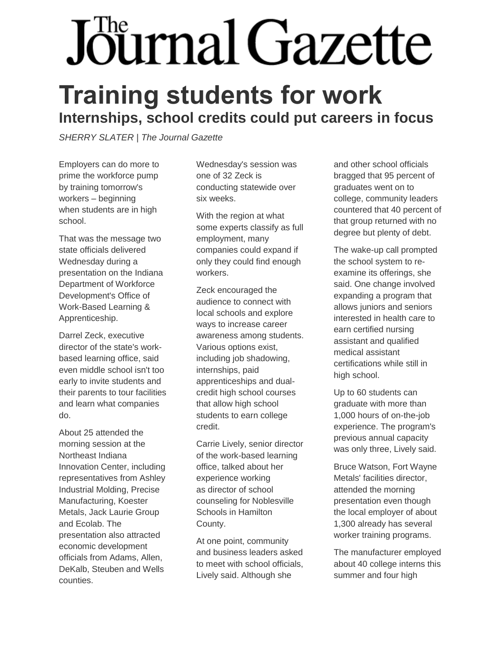## Journal Gazette

## **Training students for work Internships, school credits could put careers in focus**

*SHERRY SLATER | The Journal Gazette*

Employers can do more to prime the workforce pump by training tomorrow's workers – beginning when students are in high school.

That was the message two state officials delivered Wednesday during a presentation on the Indiana Department of Workforce Development's Office of Work-Based Learning & Apprenticeship.

Darrel Zeck, executive director of the state's workbased learning office, said even middle school isn't too early to invite students and their parents to tour facilities and learn what companies do.

About 25 attended the morning session at the Northeast Indiana Innovation Center, including representatives from Ashley Industrial Molding, Precise Manufacturing, Koester Metals, Jack Laurie Group and Ecolab. The presentation also attracted economic development officials from Adams, Allen, DeKalb, Steuben and Wells counties.

Wednesday's session was one of 32 Zeck is conducting statewide over six weeks.

With the region at what some experts classify as full employment, many companies could expand if only they could find enough workers.

Zeck encouraged the audience to connect with local schools and explore ways to increase career awareness among students. Various options exist, including job shadowing, internships, paid apprenticeships and dualcredit high school courses that allow high school students to earn college credit.

Carrie Lively, senior director of the work-based learning office, talked about her experience working as director of school counseling for Noblesville Schools in Hamilton County.

At one point, community and business leaders asked to meet with school officials, Lively said. Although she

and other school officials bragged that 95 percent of graduates went on to college, community leaders countered that 40 percent of that group returned with no degree but plenty of debt.

The wake-up call prompted the school system to reexamine its offerings, she said. One change involved expanding a program that allows juniors and seniors interested in health care to earn certified nursing assistant and qualified medical assistant certifications while still in high school.

Up to 60 students can graduate with more than 1,000 hours of on-the-job experience. The program's previous annual capacity was only three, Lively said.

Bruce Watson, Fort Wayne Metals' facilities director, attended the morning presentation even though the local employer of about 1,300 already has several worker training programs.

The manufacturer employed about 40 college interns this summer and four high